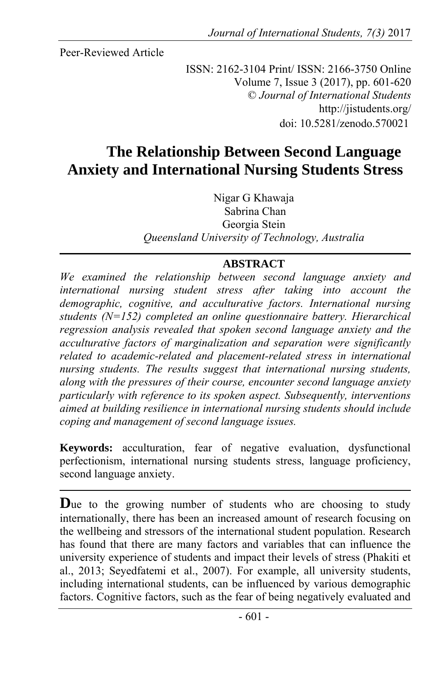Peer-Reviewed Article

ISSN: 2162-3104 Print/ ISSN: 2166-3750 Online Volume 7, Issue 3 (2017), pp. 601-620 © *Journal of International Students* http://jistudents.org/ doi: 10.5281/zenodo.570021

# **The Relationship Between Second Language Anxiety and International Nursing Students Stress**

Nigar G Khawaja Sabrina Chan Georgia Stein *Queensland University of Technology, Australia*

### **ABSTRACT**

*We examined the relationship between second language anxiety and international nursing student stress after taking into account the demographic, cognitive, and acculturative factors. International nursing students (N=152) completed an online questionnaire battery. Hierarchical regression analysis revealed that spoken second language anxiety and the acculturative factors of marginalization and separation were significantly*  related to academic-related and placement-related stress in international *nursing students. The results suggest that international nursing students, along with the pressures of their course, encounter second language anxiety particularly with reference to its spoken aspect. Subsequently, interventions aimed at building resilience in international nursing students should include coping and management of second language issues.* 

**Keywords:** acculturation, fear of negative evaluation, dysfunctional perfectionism, international nursing students stress, language proficiency, second language anxiety.

**D**ue to the growing number of students who are choosing to study internationally, there has been an increased amount of research focusing on the wellbeing and stressors of the international student population. Research has found that there are many factors and variables that can influence the university experience of students and impact their levels of stress (Phakiti et al., 2013; Seyedfatemi et al., 2007). For example, all university students, including international students, can be influenced by various demographic factors. Cognitive factors, such as the fear of being negatively evaluated and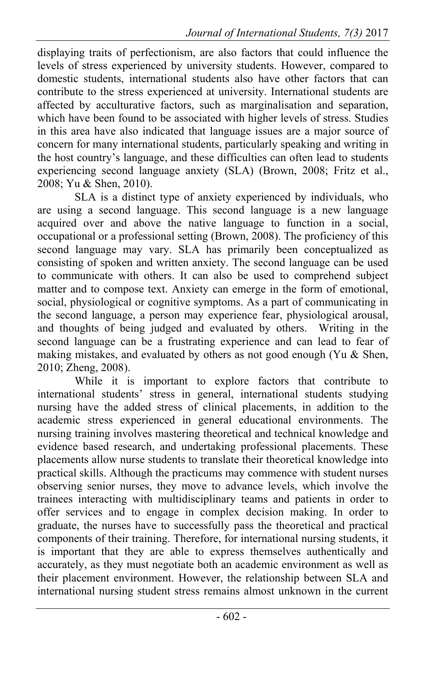displaying traits of perfectionism, are also factors that could influence the levels of stress experienced by university students. However, compared to domestic students, international students also have other factors that can contribute to the stress experienced at university. International students are affected by acculturative factors, such as marginalisation and separation, which have been found to be associated with higher levels of stress. Studies in this area have also indicated that language issues are a major source of concern for many international students, particularly speaking and writing in the host country's language, and these difficulties can often lead to students experiencing second language anxiety (SLA) (Brown, 2008; Fritz et al., 2008; Yu & Shen, 2010).

SLA is a distinct type of anxiety experienced by individuals, who are using a second language. This second language is a new language acquired over and above the native language to function in a social, occupational or a professional setting (Brown, 2008). The proficiency of this second language may vary. SLA has primarily been conceptualized as consisting of spoken and written anxiety. The second language can be used to communicate with others. It can also be used to comprehend subject matter and to compose text. Anxiety can emerge in the form of emotional, social, physiological or cognitive symptoms. As a part of communicating in the second language, a person may experience fear, physiological arousal, and thoughts of being judged and evaluated by others. Writing in the second language can be a frustrating experience and can lead to fear of making mistakes, and evaluated by others as not good enough (Yu & Shen, 2010; Zheng, 2008).

While it is important to explore factors that contribute to international students' stress in general, international students studying nursing have the added stress of clinical placements, in addition to the academic stress experienced in general educational environments. The nursing training involves mastering theoretical and technical knowledge and evidence based research, and undertaking professional placements. These placements allow nurse students to translate their theoretical knowledge into practical skills. Although the practicums may commence with student nurses observing senior nurses, they move to advance levels, which involve the trainees interacting with multidisciplinary teams and patients in order to offer services and to engage in complex decision making. In order to graduate, the nurses have to successfully pass the theoretical and practical components of their training. Therefore, for international nursing students, it is important that they are able to express themselves authentically and accurately, as they must negotiate both an academic environment as well as their placement environment. However, the relationship between SLA and international nursing student stress remains almost unknown in the current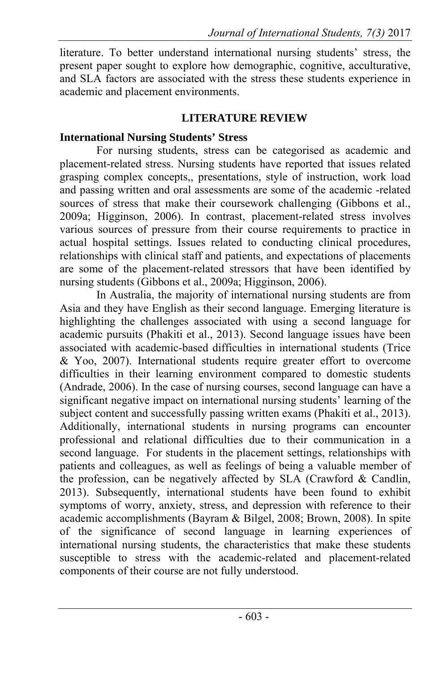literature. To better understand international nursing students' stress, the present paper sought to explore how demographic, cognitive, acculturative, and SLA factors are associated with the stress these students experience in academic and placement environments.

## **LITERATURE REVIEW**

## **International Nursing Students' Stress**

For nursing students, stress can be categorised as academic and placement-related stress. Nursing students have reported that issues related grasping complex concepts,, presentations, style of instruction, work load and passing written and oral assessments are some of the academic -related sources of stress that make their coursework challenging (Gibbons et al., 2009a; Higginson, 2006). In contrast, placement-related stress involves various sources of pressure from their course requirements to practice in actual hospital settings. Issues related to conducting clinical procedures, relationships with clinical staff and patients, and expectations of placements are some of the placement-related stressors that have been identified by nursing students (Gibbons et al., 2009a; Higginson, 2006).

In Australia, the majority of international nursing students are from Asia and they have English as their second language. Emerging literature is highlighting the challenges associated with using a second language for academic pursuits (Phakiti et al., 2013). Second language issues have been associated with academic-based difficulties in international students (Trice & Yoo, 2007). International students require greater effort to overcome difficulties in their learning environment compared to domestic students (Andrade, 2006). In the case of nursing courses, second language can have a significant negative impact on international nursing students' learning of the subject content and successfully passing written exams (Phakiti et al., 2013). Additionally, international students in nursing programs can encounter professional and relational difficulties due to their communication in a second language. For students in the placement settings, relationships with patients and colleagues, as well as feelings of being a valuable member of the profession, can be negatively affected by SLA (Crawford & Candlin, 2013). Subsequently, international students have been found to exhibit symptoms of worry, anxiety, stress, and depression with reference to their academic accomplishments (Bayram & Bilgel, 2008; Brown, 2008). In spite of the significance of second language in learning experiences of international nursing students, the characteristics that make these students susceptible to stress with the academic-related and placement-related components of their course are not fully understood.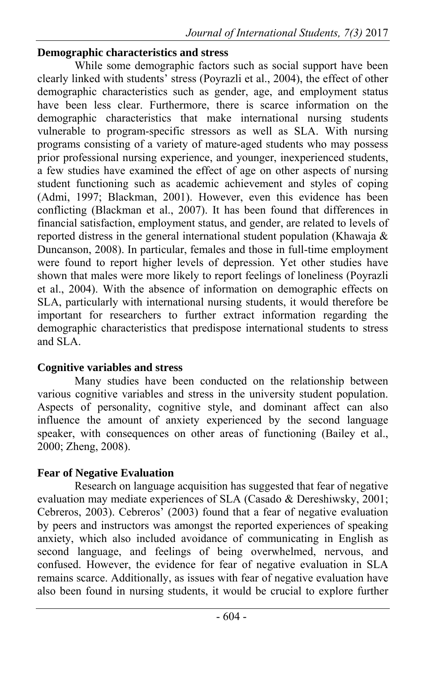### **Demographic characteristics and stress**

While some demographic factors such as social support have been clearly linked with students' stress (Poyrazli et al., 2004), the effect of other demographic characteristics such as gender, age, and employment status have been less clear. Furthermore, there is scarce information on the demographic characteristics that make international nursing students vulnerable to program-specific stressors as well as SLA. With nursing programs consisting of a variety of mature-aged students who may possess prior professional nursing experience, and younger, inexperienced students, a few studies have examined the effect of age on other aspects of nursing student functioning such as academic achievement and styles of coping (Admi, 1997; Blackman, 2001). However, even this evidence has been conflicting (Blackman et al., 2007). It has been found that differences in financial satisfaction, employment status, and gender, are related to levels of reported distress in the general international student population (Khawaja & Duncanson, 2008). In particular, females and those in full-time employment were found to report higher levels of depression. Yet other studies have shown that males were more likely to report feelings of loneliness (Poyrazli et al., 2004). With the absence of information on demographic effects on SLA, particularly with international nursing students, it would therefore be important for researchers to further extract information regarding the demographic characteristics that predispose international students to stress and SLA.

### **Cognitive variables and stress**

 Many studies have been conducted on the relationship between various cognitive variables and stress in the university student population. Aspects of personality, cognitive style, and dominant affect can also influence the amount of anxiety experienced by the second language speaker, with consequences on other areas of functioning (Bailey et al., 2000; Zheng, 2008).

## **Fear of Negative Evaluation**

 Research on language acquisition has suggested that fear of negative evaluation may mediate experiences of SLA (Casado & Dereshiwsky, 2001; Cebreros, 2003). Cebreros' (2003) found that a fear of negative evaluation by peers and instructors was amongst the reported experiences of speaking anxiety, which also included avoidance of communicating in English as second language, and feelings of being overwhelmed, nervous, and confused. However, the evidence for fear of negative evaluation in SLA remains scarce. Additionally, as issues with fear of negative evaluation have also been found in nursing students, it would be crucial to explore further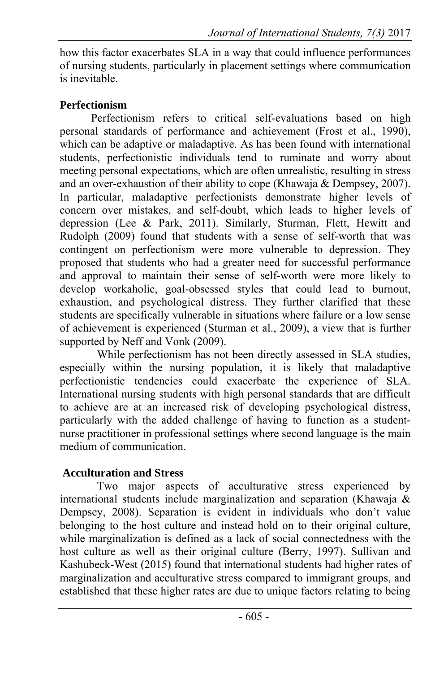how this factor exacerbates SLA in a way that could influence performances of nursing students, particularly in placement settings where communication is inevitable.

# **Perfectionism**

 Perfectionism refers to critical self-evaluations based on high personal standards of performance and achievement (Frost et al., 1990), which can be adaptive or maladaptive. As has been found with international students, perfectionistic individuals tend to ruminate and worry about meeting personal expectations, which are often unrealistic, resulting in stress and an over-exhaustion of their ability to cope (Khawaja & Dempsey, 2007). In particular, maladaptive perfectionists demonstrate higher levels of concern over mistakes, and self-doubt, which leads to higher levels of depression (Lee & Park, 2011). Similarly, Sturman, Flett, Hewitt and Rudolph (2009) found that students with a sense of self-worth that was contingent on perfectionism were more vulnerable to depression. They proposed that students who had a greater need for successful performance and approval to maintain their sense of self-worth were more likely to develop workaholic, goal-obsessed styles that could lead to burnout, exhaustion, and psychological distress. They further clarified that these students are specifically vulnerable in situations where failure or a low sense of achievement is experienced (Sturman et al., 2009), a view that is further supported by Neff and Vonk (2009).

 While perfectionism has not been directly assessed in SLA studies, especially within the nursing population, it is likely that maladaptive perfectionistic tendencies could exacerbate the experience of SLA. International nursing students with high personal standards that are difficult to achieve are at an increased risk of developing psychological distress, particularly with the added challenge of having to function as a studentnurse practitioner in professional settings where second language is the main medium of communication.

## **Acculturation and Stress**

 Two major aspects of acculturative stress experienced by international students include marginalization and separation (Khawaja & Dempsey, 2008). Separation is evident in individuals who don't value belonging to the host culture and instead hold on to their original culture, while marginalization is defined as a lack of social connectedness with the host culture as well as their original culture (Berry, 1997). Sullivan and Kashubeck-West (2015) found that international students had higher rates of marginalization and acculturative stress compared to immigrant groups, and established that these higher rates are due to unique factors relating to being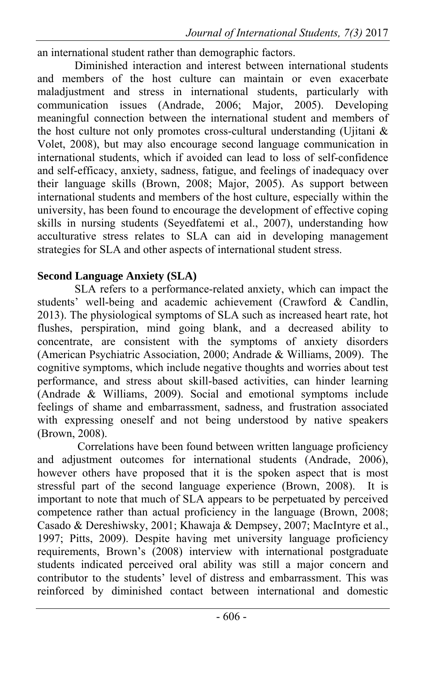an international student rather than demographic factors.

 Diminished interaction and interest between international students and members of the host culture can maintain or even exacerbate maladjustment and stress in international students, particularly with communication issues (Andrade, 2006; Major, 2005). Developing meaningful connection between the international student and members of the host culture not only promotes cross-cultural understanding (Ujitani  $\&$ Volet, 2008), but may also encourage second language communication in international students, which if avoided can lead to loss of self-confidence and self-efficacy, anxiety, sadness, fatigue, and feelings of inadequacy over their language skills (Brown, 2008; Major, 2005). As support between international students and members of the host culture, especially within the university, has been found to encourage the development of effective coping skills in nursing students (Seyedfatemi et al., 2007), understanding how acculturative stress relates to SLA can aid in developing management strategies for SLA and other aspects of international student stress.

## **Second Language Anxiety (SLA)**

 SLA refers to a performance-related anxiety, which can impact the students' well-being and academic achievement (Crawford & Candlin, 2013). The physiological symptoms of SLA such as increased heart rate, hot flushes, perspiration, mind going blank, and a decreased ability to concentrate, are consistent with the symptoms of anxiety disorders (American Psychiatric Association, 2000; Andrade & Williams, 2009). The cognitive symptoms, which include negative thoughts and worries about test performance, and stress about skill-based activities, can hinder learning (Andrade & Williams, 2009). Social and emotional symptoms include feelings of shame and embarrassment, sadness, and frustration associated with expressing oneself and not being understood by native speakers (Brown, 2008).

 Correlations have been found between written language proficiency and adjustment outcomes for international students (Andrade, 2006), however others have proposed that it is the spoken aspect that is most stressful part of the second language experience (Brown, 2008). It is important to note that much of SLA appears to be perpetuated by perceived competence rather than actual proficiency in the language (Brown, 2008; Casado & Dereshiwsky, 2001; Khawaja & Dempsey, 2007; MacIntyre et al., 1997; Pitts, 2009). Despite having met university language proficiency requirements, Brown's (2008) interview with international postgraduate students indicated perceived oral ability was still a major concern and contributor to the students' level of distress and embarrassment. This was reinforced by diminished contact between international and domestic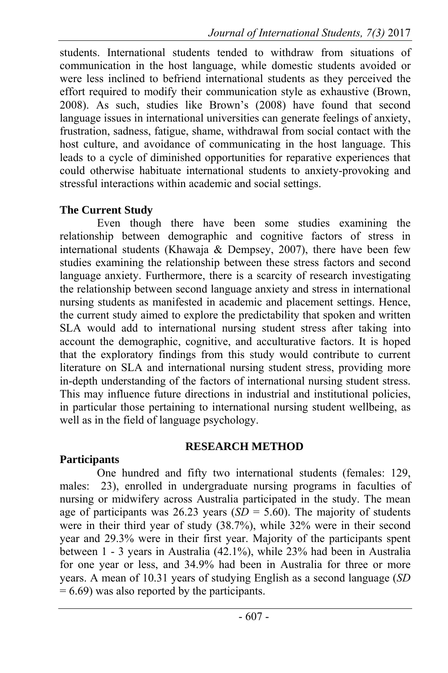students. International students tended to withdraw from situations of communication in the host language, while domestic students avoided or were less inclined to befriend international students as they perceived the effort required to modify their communication style as exhaustive (Brown, 2008). As such, studies like Brown's (2008) have found that second language issues in international universities can generate feelings of anxiety, frustration, sadness, fatigue, shame, withdrawal from social contact with the host culture, and avoidance of communicating in the host language. This leads to a cycle of diminished opportunities for reparative experiences that could otherwise habituate international students to anxiety-provoking and stressful interactions within academic and social settings.

## **The Current Study**

 Even though there have been some studies examining the relationship between demographic and cognitive factors of stress in international students (Khawaja & Dempsey, 2007), there have been few studies examining the relationship between these stress factors and second language anxiety. Furthermore, there is a scarcity of research investigating the relationship between second language anxiety and stress in international nursing students as manifested in academic and placement settings. Hence, the current study aimed to explore the predictability that spoken and written SLA would add to international nursing student stress after taking into account the demographic, cognitive, and acculturative factors. It is hoped that the exploratory findings from this study would contribute to current literature on SLA and international nursing student stress, providing more in-depth understanding of the factors of international nursing student stress. This may influence future directions in industrial and institutional policies, in particular those pertaining to international nursing student wellbeing, as well as in the field of language psychology.

### **RESEARCH METHOD**

### **Participants**

One hundred and fifty two international students (females: 129, males: 23), enrolled in undergraduate nursing programs in faculties of nursing or midwifery across Australia participated in the study. The mean age of participants was  $26.23$  years  $(SD = 5.60)$ . The majority of students were in their third year of study (38.7%), while 32% were in their second year and 29.3% were in their first year. Majority of the participants spent between 1 - 3 years in Australia (42.1%), while 23% had been in Australia for one year or less, and 34.9% had been in Australia for three or more years. A mean of 10.31 years of studying English as a second language (*SD*   $= 6.69$ ) was also reported by the participants.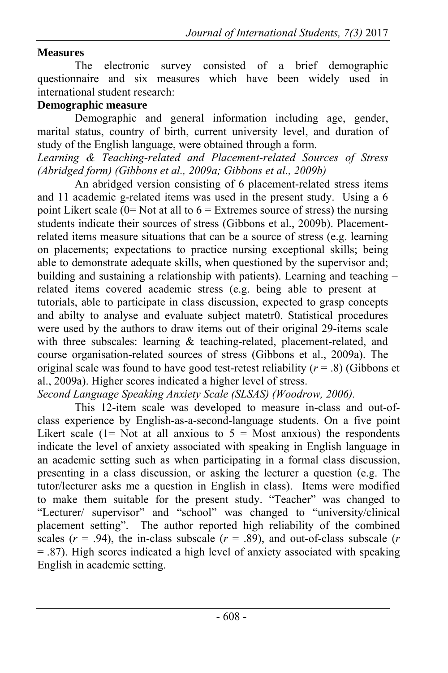# **Measures**

The electronic survey consisted of a brief demographic questionnaire and six measures which have been widely used in international student research:

## **Demographic measure**

Demographic and general information including age, gender, marital status, country of birth, current university level, and duration of study of the English language, were obtained through a form.

*Learning & Teaching-related and Placement-related Sources of Stress (Abridged form) (Gibbons et al., 2009a; Gibbons et al., 2009b)*

An abridged version consisting of 6 placement-related stress items and 11 academic g-related items was used in the present study. Using a 6 point Likert scale  $(0=$  Not at all to  $6 =$  Extremes source of stress) the nursing students indicate their sources of stress (Gibbons et al., 2009b). Placementrelated items measure situations that can be a source of stress (e.g. learning on placements; expectations to practice nursing exceptional skills; being able to demonstrate adequate skills, when questioned by the supervisor and; building and sustaining a relationship with patients). Learning and teaching – related items covered academic stress (e.g. being able to present at tutorials, able to participate in class discussion, expected to grasp concepts and abilty to analyse and evaluate subject matetr0. Statistical procedures were used by the authors to draw items out of their original 29-items scale with three subscales: learning & teaching-related, placement-related, and course organisation-related sources of stress (Gibbons et al., 2009a). The original scale was found to have good test-retest reliability  $(r = .8)$  (Gibbons et al., 2009a). Higher scores indicated a higher level of stress.

*Second Language Speaking Anxiety Scale (SLSAS) (Woodrow, 2006).*

This 12-item scale was developed to measure in-class and out-ofclass experience by English-as-a-second-language students. On a five point Likert scale  $(1=$  Not at all anxious to  $5 =$  Most anxious) the respondents indicate the level of anxiety associated with speaking in English language in an academic setting such as when participating in a formal class discussion, presenting in a class discussion, or asking the lecturer a question (e.g. The tutor/lecturer asks me a question in English in class). Items were modified to make them suitable for the present study. "Teacher" was changed to "Lecturer/ supervisor" and "school" was changed to "university/clinical placement setting". The author reported high reliability of the combined scales  $(r = .94)$ , the in-class subscale  $(r = .89)$ , and out-of-class subscale  $(r = .89)$ = .87). High scores indicated a high level of anxiety associated with speaking English in academic setting.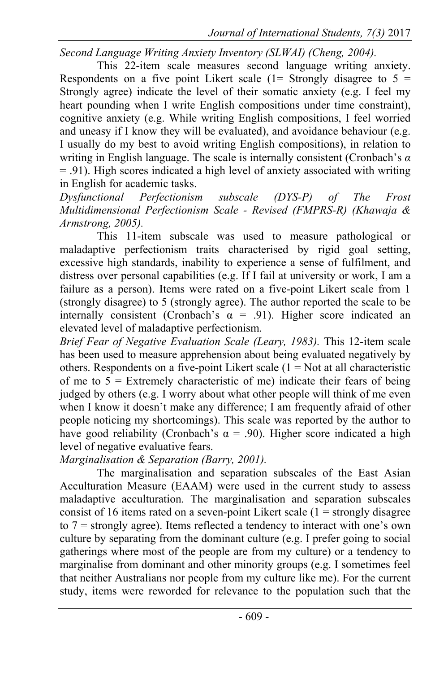*Second Language Writing Anxiety Inventory (SLWAI) (Cheng, 2004).* 

This 22-item scale measures second language writing anxiety. Respondents on a five point Likert scale  $(1=$  Strongly disagree to  $5 =$ Strongly agree) indicate the level of their somatic anxiety (e.g. I feel my heart pounding when I write English compositions under time constraint), cognitive anxiety (e.g. While writing English compositions, I feel worried and uneasy if I know they will be evaluated), and avoidance behaviour (e.g. I usually do my best to avoid writing English compositions), in relation to writing in English language. The scale is internally consistent (Cronbach's *α* = .91). High scores indicated a high level of anxiety associated with writing in English for academic tasks.

*Dysfunctional Perfectionism subscale (DYS-P) of The Frost Multidimensional Perfectionism Scale - Revised (FMPRS-R) (Khawaja & Armstrong, 2005).* 

This 11-item subscale was used to measure pathological or maladaptive perfectionism traits characterised by rigid goal setting, excessive high standards, inability to experience a sense of fulfilment, and distress over personal capabilities (e.g. If I fail at university or work, I am a failure as a person). Items were rated on a five-point Likert scale from 1 (strongly disagree) to 5 (strongly agree). The author reported the scale to be internally consistent (Cronbach's  $\alpha$  = .91). Higher score indicated an elevated level of maladaptive perfectionism.

*Brief Fear of Negative Evaluation Scale (Leary, 1983).* This 12-item scale has been used to measure apprehension about being evaluated negatively by others. Respondents on a five-point Likert scale  $(1 = Not at all characteristic$ of me to  $5 =$  Extremely characteristic of me) indicate their fears of being judged by others (e.g. I worry about what other people will think of me even when I know it doesn't make any difference; I am frequently afraid of other people noticing my shortcomings). This scale was reported by the author to have good reliability (Cronbach's  $\alpha$  = .90). Higher score indicated a high level of negative evaluative fears.

### *Marginalisation & Separation (Barry, 2001).*

The marginalisation and separation subscales of the East Asian Acculturation Measure (EAAM) were used in the current study to assess maladaptive acculturation. The marginalisation and separation subscales consist of 16 items rated on a seven-point Likert scale  $(1 =$  strongly disagree to 7 = strongly agree). Items reflected a tendency to interact with one's own culture by separating from the dominant culture (e.g. I prefer going to social gatherings where most of the people are from my culture) or a tendency to marginalise from dominant and other minority groups (e.g. I sometimes feel that neither Australians nor people from my culture like me). For the current study, items were reworded for relevance to the population such that the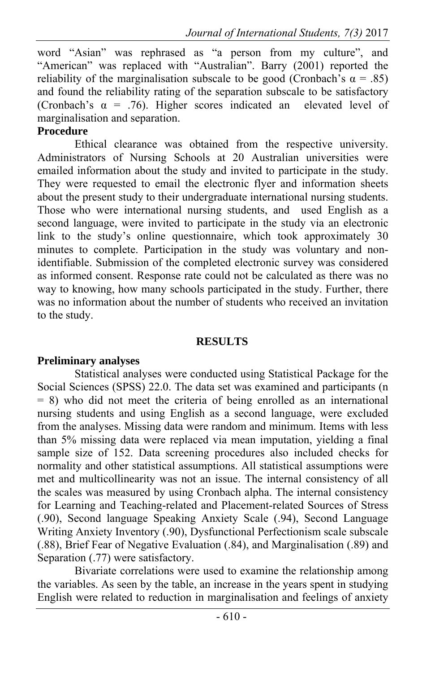word "Asian" was rephrased as "a person from my culture", and "American" was replaced with "Australian". Barry (2001) reported the reliability of the marginalisation subscale to be good (Cronbach's  $\alpha = .85$ ) and found the reliability rating of the separation subscale to be satisfactory (Cronbach's  $\alpha$  = .76). Higher scores indicated an elevated level of marginalisation and separation.

#### **Procedure**

Ethical clearance was obtained from the respective university. Administrators of Nursing Schools at 20 Australian universities were emailed information about the study and invited to participate in the study. They were requested to email the electronic flyer and information sheets about the present study to their undergraduate international nursing students. Those who were international nursing students, and used English as a second language, were invited to participate in the study via an electronic link to the study's online questionnaire, which took approximately 30 minutes to complete. Participation in the study was voluntary and nonidentifiable. Submission of the completed electronic survey was considered as informed consent. Response rate could not be calculated as there was no way to knowing, how many schools participated in the study. Further, there was no information about the number of students who received an invitation to the study.

#### **RESULTS**

### **Preliminary analyses**

Statistical analyses were conducted using Statistical Package for the Social Sciences (SPSS) 22.0. The data set was examined and participants (n = 8) who did not meet the criteria of being enrolled as an international nursing students and using English as a second language, were excluded from the analyses. Missing data were random and minimum. Items with less than 5% missing data were replaced via mean imputation, yielding a final sample size of 152. Data screening procedures also included checks for normality and other statistical assumptions. All statistical assumptions were met and multicollinearity was not an issue. The internal consistency of all the scales was measured by using Cronbach alpha. The internal consistency for Learning and Teaching-related and Placement-related Sources of Stress (.90), Second language Speaking Anxiety Scale (.94), Second Language Writing Anxiety Inventory (.90), Dysfunctional Perfectionism scale subscale (.88), Brief Fear of Negative Evaluation (.84), and Marginalisation (.89) and Separation (.77) were satisfactory.

Bivariate correlations were used to examine the relationship among the variables. As seen by the table, an increase in the years spent in studying English were related to reduction in marginalisation and feelings of anxiety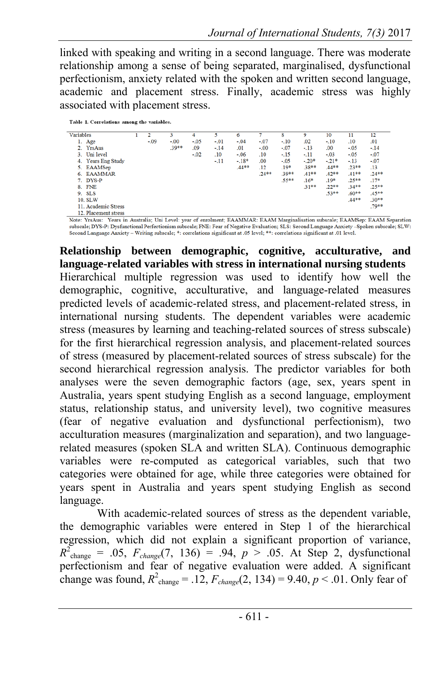linked with speaking and writing in a second language. There was moderate relationship among a sense of being separated, marginalised, dysfunctional perfectionism, anxiety related with the spoken and written second language, academic and placement stress. Finally, academic stress was highly associated with placement stress.

| Table 1. Correlations among the variables. |  |
|--------------------------------------------|--|
|                                            |  |

| <b>Variables</b> |                        | 2      | 3       | 4      | 5      | 6       |         | 8       | 9       | 10      | 11      | 12      |
|------------------|------------------------|--------|---------|--------|--------|---------|---------|---------|---------|---------|---------|---------|
| 1.               | Age                    | $-.09$ | $-.00$  | $-.05$ | $-.01$ | $-.04$  | $-.07$  | $-.10$  | .02     | $-.10$  | .10     | .01     |
|                  | 2. YrsAus              |        | $.39**$ | .09    | -. 14  | .01     | $-.00$  | $-.07$  | $-.13$  | .00     | $-.05$  | $-.14$  |
| 3.               | Uni level              |        |         | $-.02$ | .10    | $-.06$  | .10     | $-.15$  | $-11$   | $-.03$  | $-.05$  | $-.07$  |
| 4.               | <b>Years Eng Study</b> |        |         |        | $-11$  | $-.18*$ | .00     | $-.05$  | $-.20*$ | $-21*$  | $-.13$  | $-.07$  |
|                  | 5. EAAMSep             |        |         |        |        | $.44**$ | .12     | $.19*$  | $.38**$ | $.44**$ | $.23**$ | .13     |
| 6.               | <b>EAAMMAR</b>         |        |         |        |        |         | $.24**$ | .39**   | $.41**$ | $.42**$ | $.41**$ | $.24**$ |
|                  | 7. DYS-P               |        |         |        |        |         |         | $.55**$ | $.16*$  | $.19*$  | $.25**$ | $.17*$  |
| 8.               | <b>FNE</b>             |        |         |        |        |         |         |         | $.31**$ | $.22**$ | $.34**$ | $.25**$ |
|                  | 9. SLS                 |        |         |        |        |         |         |         |         | $.53**$ | $.60**$ | .45**   |
|                  | 10. SLW                |        |         |        |        |         |         |         |         |         | $.44**$ | $.30**$ |
|                  | 11. Academic Stress    |        |         |        |        |         |         |         |         |         |         | $.79**$ |
|                  | 12. Placement stress   |        |         |        |        |         |         |         |         |         |         |         |

Note: YrsAus: Years in Australia; Uni Level: year of enrolment; EAAMMAR: EAAM Marginalisation subscale; EAAMSep: EAAM Separation subscale; DYS-P: Dysfunctional Perfectionism subscale; FNE: Fear of Negative Evaluation; SLS: Second Language Anxiety -Spoken subscale; SLW: Second Language Anxiety - Writing subscale; \*: correlations significant at .05 level; \*\*: correlations significant at .01 level.

**Relationship between demographic, cognitive, acculturative, and language-related variables with stress in international nursing students**  Hierarchical multiple regression was used to identify how well the demographic, cognitive, acculturative, and language-related measures predicted levels of academic-related stress, and placement-related stress, in international nursing students. The dependent variables were academic stress (measures by learning and teaching-related sources of stress subscale) for the first hierarchical regression analysis, and placement-related sources of stress (measured by placement-related sources of stress subscale) for the second hierarchical regression analysis. The predictor variables for both analyses were the seven demographic factors (age, sex, years spent in Australia, years spent studying English as a second language, employment status, relationship status, and university level), two cognitive measures (fear of negative evaluation and dysfunctional perfectionism), two acculturation measures (marginalization and separation), and two languagerelated measures (spoken SLA and written SLA). Continuous demographic variables were re-computed as categorical variables, such that two categories were obtained for age, while three categories were obtained for years spent in Australia and years spent studying English as second language.

With academic-related sources of stress as the dependent variable, the demographic variables were entered in Step 1 of the hierarchical regression, which did not explain a significant proportion of variance,  $R^2$ <sub>change</sub> = .05,  $F_{change}(7, 136)$  = .94,  $p > .05$ . At Step 2, dysfunctional perfectionism and fear of negative evaluation were added. A significant change was found,  $R^2_{\text{change}} = .12$ ,  $F_{\text{change}}(2, 134) = 9.40$ ,  $p < .01$ . Only fear of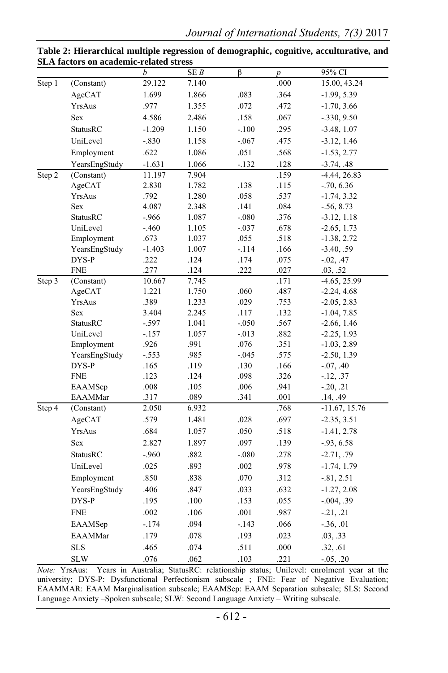|                            |                 | $\boldsymbol{b}$ | SEB   | $\overline{\beta}$ | p    | 95% CI          |
|----------------------------|-----------------|------------------|-------|--------------------|------|-----------------|
| Step 1                     | (Constant)      | 29.122           | 7.140 |                    | .000 | 15.00, 43.24    |
|                            | AgeCAT          | 1.699            | 1.866 | .083               | .364 | $-1.99, 5.39$   |
|                            | YrsAus          | .977             | 1.355 | .072               | .472 | $-1.70, 3.66$   |
|                            | Sex             | 4.586            | 2.486 | .158               | .067 | $-0.330, 9.50$  |
|                            | StatusRC        | $-1.209$         | 1.150 | $-.100$            | .295 | $-3.48, 1.07$   |
|                            | UniLevel        | $-.830$          | 1.158 | $-.067$            | .475 | $-3.12, 1.46$   |
|                            | Employment      | .622             | 1.086 | .051               | .568 | $-1.53, 2.77$   |
|                            | YearsEngStudy   | $-1.631$         | 1.066 | $-132$             | .128 | $-3.74, .48$    |
| Step 2                     | (Constant)      | 11.197           | 7.904 |                    | .159 | $-4.44, 26.83$  |
|                            | AgeCAT          | 2.830            | 1.782 | .138               | .115 | $-.70, 6.36$    |
|                            | YrsAus          | .792             | 1.280 | .058               | .537 | $-1.74, 3.32$   |
|                            | Sex             | 4.087            | 2.348 | .141               | .084 | $-.56, 8.73$    |
|                            | <b>StatusRC</b> | $-966$           | 1.087 | $-080$             | .376 | $-3.12, 1.18$   |
|                            | UniLevel        | $-460$           | 1.105 | $-.037$            | .678 | $-2.65, 1.73$   |
|                            | Employment      | .673             | 1.037 | .055               | .518 | $-1.38, 2.72$   |
|                            | YearsEngStudy   | $-1.403$         | 1.007 | $-114$             | .166 | $-3.40, .59$    |
|                            | DYS-P           | .222             | .124  | .174               | .075 | $-0.02, .47$    |
|                            | <b>FNE</b>      | .277             | .124  | .222               | .027 | .03, .52        |
| Step 3                     | (Constant)      | 10.667           | 7.745 |                    | .171 | $-4.65, 25.99$  |
|                            | AgeCAT          | 1.221            | 1.750 | .060               | .487 | $-2.24, 4.68$   |
|                            | YrsAus          | .389             | 1.233 | .029               | .753 | $-2.05, 2.83$   |
|                            | Sex             | 3.404            | 2.245 | .117               | .132 | $-1.04, 7.85$   |
|                            | <b>StatusRC</b> | $-.597$          | 1.041 | $-.050$            | .567 | $-2.66, 1.46$   |
|                            | UniLevel        | $-157$           | 1.057 | $-0.013$           | .882 | $-2.25, 1.93$   |
|                            | Employment      | .926             | .991  | .076               | .351 | $-1.03, 2.89$   |
|                            | YearsEngStudy   | $-.553$          | .985  | $-0.045$           | .575 | $-2.50, 1.39$   |
|                            | DYS-P           | .165             | .119  | .130               | .166 | $-0.07, .40$    |
|                            | <b>FNE</b>      | .123             | .124  | .098               | .326 | $-12, .37$      |
|                            | EAAMSep         | $.008\,$         | .105  | .006               | .941 | $-0.20, 0.21$   |
|                            | EAAMMar         | .317             | .089  | .341               | .001 | .14, .49        |
| $\overline{\text{Step 4}}$ | (Constant)      | 2.050            | 6.932 |                    | .768 | $-11.67, 15.76$ |
|                            | AgeCAT          | .579             | 1.481 | .028               | .697 | $-2.35, 3.51$   |
|                            | YrsAus          | .684             | 1.057 | .050               | .518 | $-1.41, 2.78$   |
|                            | <b>Sex</b>      | 2.827            | 1.897 | .097               | .139 | $-.93, 6.58$    |
|                            | <b>StatusRC</b> | $-960$           | .882  | $-080$             | .278 | $-2.71, .79$    |
|                            | UniLevel        | .025             | .893  | .002               | .978 | $-1.74, 1.79$   |
|                            | Employment      | .850             | .838  | .070               | .312 | $-0.81, 2.51$   |
|                            | YearsEngStudy   | .406             | .847  | .033               | .632 | $-1.27, 2.08$   |
|                            | DYS-P           | .195             | .100  | .153               | .055 | $-.004, .39$    |
|                            | <b>FNE</b>      | .002             | .106  | .001               | .987 | $-21, 21$       |
|                            | EAAMSep         | $-.174$          | .094  | $-143$             | .066 | $-.36, .01$     |
|                            | <b>EAAMMar</b>  | .179             | .078  | .193               | .023 | .03, .33        |
|                            | <b>SLS</b>      | .465             | .074  | .511               | .000 | .32, .61        |
|                            |                 |                  |       |                    |      |                 |
|                            | <b>SLW</b>      | .076             | .062  | .103               | .221 | $-0.05, .20$    |

| Table 2: Hierarchical multiple regression of demographic, cognitive, acculturative, and |  |
|-----------------------------------------------------------------------------------------|--|
| <b>SLA factors on academic-related stress</b>                                           |  |

*Note:* YrsAus: Years in Australia; StatusRC: relationship status; Unilevel: enrolment year at the university; DYS-P: Dysfunctional Perfectionism subscale ; FNE: Fear of Negative Evaluation; EAAMMAR: EAAM Marginalisation subscale; EAAMSep: EAAM Separation subscale; SLS: Second Language Anxiety –Spoken subscale; SLW: Second Language Anxiety – Writing subscale.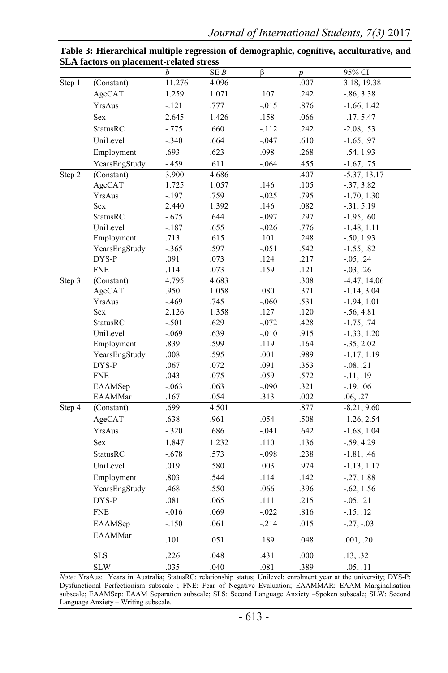|        |                 | b        | SEB   | β        | $\boldsymbol{p}$ | 95% CI         |
|--------|-----------------|----------|-------|----------|------------------|----------------|
| Step 1 | (Constant)      | 11.276   | 4.096 |          | .007             | 3.18, 19.38    |
|        | AgeCAT          | 1.259    | 1.071 | .107     | .242             | $-0.86, 3.38$  |
|        | YrsAus          | $-.121$  | .777  | $-.015$  | .876             | $-1.66, 1.42$  |
|        | Sex             | 2.645    | 1.426 | .158     | .066             | $-17, 5.47$    |
|        | StatusRC        | $-0.775$ | .660  | $-.112$  | .242             | $-2.08, .53$   |
|        | UniLevel        | $-.340$  | .664  | $-.047$  | .610             | $-1.65, .97$   |
|        | Employment      | .693     | .623  | .098     | .268             | $-.54, 1.93$   |
|        | YearsEngStudy   | $-459$   | .611  | $-.064$  | .455             | $-1.67, .75$   |
| Step 2 | (Constant)      | 3.900    | 4.686 |          | .407             | $-5.37, 13.17$ |
|        | AgeCAT          | 1.725    | 1.057 | .146     | .105             | $-37, 3.82$    |
|        | YrsAus          | $-.197$  | .759  | $-.025$  | .795             | $-1.70, 1.30$  |
|        | Sex             | 2.440    | 1.392 | .146     | .082             | $-31, 5.19$    |
|        | StatusRC        | $-.675$  | .644  | $-.097$  | .297             | $-1.95, .60$   |
|        | UniLevel        | $-187$   | .655  | $-0.026$ | .776             | $-1.48, 1.11$  |
|        | Employment      | .713     | .615  | .101     | .248             | $-.50, 1.93$   |
|        | YearsEngStudy   | $-.365$  | .597  | $-.051$  | .542             | $-1.55, .82$   |
|        | DYS-P           | .091     | .073  | .124     | .217             | $-0.05, .24$   |
|        | <b>FNE</b>      | .114     | .073  | .159     | .121             | $-0.03, .26$   |
| Step 3 | (Constant)      | 4.795    | 4.683 |          | .308             | $-4.47, 14.06$ |
|        | AgeCAT          | .950     | 1.058 | .080     | .371             | $-1.14, 3.04$  |
|        | YrsAus          | $-.469$  | .745  | $-.060$  | .531             | $-1.94, 1.01$  |
|        | <b>Sex</b>      | 2.126    | 1.358 | .127     | .120             | $-.56, 4.81$   |
|        | <b>StatusRC</b> | $-.501$  | .629  | $-.072$  | .428             | $-1.75, .74$   |
|        | UniLevel        | $-.069$  | .639  | $-.010$  | .915             | $-1.33, 1.20$  |
|        | Employment      | .839     | .599  | .119     | .164             | $-.35, 2.02$   |
|        | YearsEngStudy   | .008     | .595  | .001     | .989             | $-1.17, 1.19$  |
|        | DYS-P           | .067     | .072  | .091     | .353             | $-0.08, .21$   |
|        | <b>FNE</b>      | .043     | .075  | .059     | .572             | $-11, .19$     |
|        | EAAMSep         | $-.063$  | .063  | $-.090$  | .321             | $-.19, .06$    |
|        | EAAMMar         | .167     | .054  | .313     | .002             | .06, .27       |
| Step 4 | (Constant)      | .699     | 4.501 |          | .877             | $-8.21, 9.60$  |
|        | AgeCAT          | .638     | .961  | .054     | .508             | $-1.26, 2.54$  |
|        | YrsAus          | $-.320$  | .686  | $-.041$  | .642             | $-1.68, 1.04$  |
|        | Sex             | 1.847    | 1.232 | .110     | .136             | $-.59, 4.29$   |
|        | StatusRC        | $-.678$  | .573  | $-.098$  | .238             | $-1.81, .46$   |
|        | UniLevel        | .019     | .580  | .003     | .974             | $-1.13, 1.17$  |
|        | Employment      | .803     | .544  | .114     | .142             | $-.27, 1.88$   |
|        | YearsEngStudy   | .468     | .550  | .066     | .396             | $-.62, 1.56$   |
|        | DYS-P           | .081     | .065  | .111     | .215             | $-0.05, .21$   |
|        | <b>FNE</b>      | $-0.016$ | .069  | $-.022$  | .816             | $-15, 12$      |
|        | EAAMSep         | $-.150$  | .061  | $-.214$  | .015             | $-.27, -.03$   |
|        | <b>EAAMMar</b>  | .101     | .051  | .189     | .048             | .001, .20      |
|        | <b>SLS</b>      | .226     |       |          | .000             |                |
|        |                 |          | .048  | .431     |                  | .13, .32       |
|        | <b>SLW</b>      | .035     | .040  | .081     | .389             | $-0.05, 0.11$  |

**Table 3: Hierarchical multiple regression of demographic, cognitive, acculturative, and SLA factors on placement-related stress** 

*Note:* YrsAus: Years in Australia; StatusRC: relationship status; Unilevel: enrolment year at the university; DYS-P: Dysfunctional Perfectionism subscale ; FNE: Fear of Negative Evaluation; EAAMMAR: EAAM Marginalisation subscale; EAAMSep: EAAM Separation subscale; SLS: Second Language Anxiety –Spoken subscale; SLW: Second Language Anxiety – Writing subscale.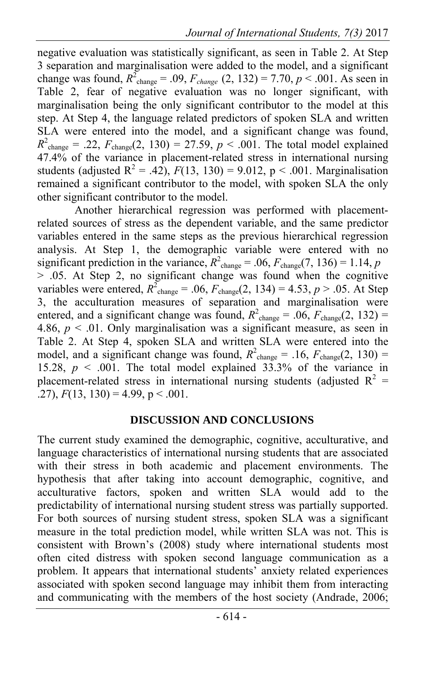negative evaluation was statistically significant, as seen in Table 2. At Step 3 separation and marginalisation were added to the model, and a significant change was found,  $R^2_{\text{change}} = .09$ ,  $F_{change}$  (2, 132) = 7.70,  $p < .001$ . As seen in Table 2, fear of negative evaluation was no longer significant, with marginalisation being the only significant contributor to the model at this step. At Step 4, the language related predictors of spoken SLA and written SLA were entered into the model, and a significant change was found,  $R^2_{\text{change}} = .22, F_{\text{change}}(2, 130) = 27.59, p < .001$ . The total model explained 47.4% of the variance in placement-related stress in international nursing students (adjusted  $R^2 = .42$ ),  $F(13, 130) = 9.012$ ,  $p < .001$ . Marginalisation remained a significant contributor to the model, with spoken SLA the only other significant contributor to the model.

Another hierarchical regression was performed with placementrelated sources of stress as the dependent variable, and the same predictor variables entered in the same steps as the previous hierarchical regression analysis. At Step 1, the demographic variable were entered with no significant prediction in the variance,  $R^2$ <sub>change</sub> = .06,  $F$ <sub>change</sub>(7, 136) = 1.14, *p*  $> 0.05$ . At Step 2, no significant change was found when the cognitive variables were entered,  $R^2_{\text{change}} = .06$ ,  $F_{\text{change}}(2, 134) = 4.53$ ,  $p > .05$ . At Step 3, the acculturation measures of separation and marginalisation were entered, and a significant change was found,  $R^2$ <sub>change</sub> = .06,  $F$ <sub>change</sub>(2, 132) = 4.86,  $p < 0.01$ . Only marginalisation was a significant measure, as seen in Table 2. At Step 4, spoken SLA and written SLA were entered into the model, and a significant change was found,  $R^2$ <sub>change</sub> = .16,  $F$ <sub>change</sub>(2, 130) = 15.28,  $p \le 0.001$ . The total model explained 33.3% of the variance in placement-related stress in international nursing students (adjusted  $R^2 =$ .27),  $F(13, 130) = 4.99$ ,  $p < .001$ .

#### **DISCUSSION AND CONCLUSIONS**

The current study examined the demographic, cognitive, acculturative, and language characteristics of international nursing students that are associated with their stress in both academic and placement environments. The hypothesis that after taking into account demographic, cognitive, and acculturative factors, spoken and written SLA would add to the predictability of international nursing student stress was partially supported. For both sources of nursing student stress, spoken SLA was a significant measure in the total prediction model, while written SLA was not. This is consistent with Brown's (2008) study where international students most often cited distress with spoken second language communication as a problem. It appears that international students' anxiety related experiences associated with spoken second language may inhibit them from interacting and communicating with the members of the host society (Andrade, 2006;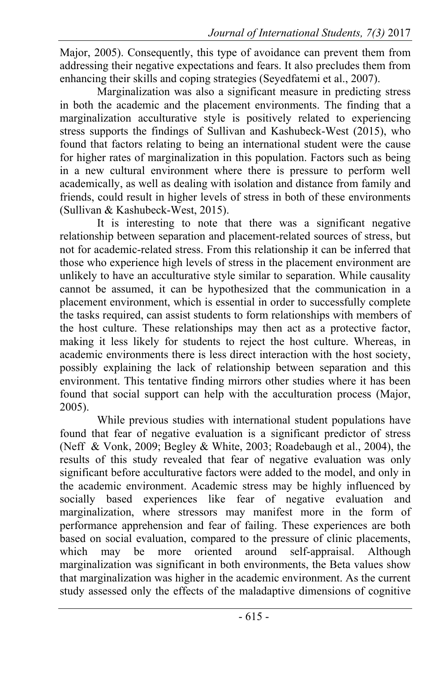Major, 2005). Consequently, this type of avoidance can prevent them from addressing their negative expectations and fears. It also precludes them from enhancing their skills and coping strategies (Seyedfatemi et al., 2007).

Marginalization was also a significant measure in predicting stress in both the academic and the placement environments. The finding that a marginalization acculturative style is positively related to experiencing stress supports the findings of Sullivan and Kashubeck-West (2015), who found that factors relating to being an international student were the cause for higher rates of marginalization in this population. Factors such as being in a new cultural environment where there is pressure to perform well academically, as well as dealing with isolation and distance from family and friends, could result in higher levels of stress in both of these environments (Sullivan & Kashubeck-West, 2015).

It is interesting to note that there was a significant negative relationship between separation and placement-related sources of stress, but not for academic-related stress. From this relationship it can be inferred that those who experience high levels of stress in the placement environment are unlikely to have an acculturative style similar to separation. While causality cannot be assumed, it can be hypothesized that the communication in a placement environment, which is essential in order to successfully complete the tasks required, can assist students to form relationships with members of the host culture. These relationships may then act as a protective factor, making it less likely for students to reject the host culture. Whereas, in academic environments there is less direct interaction with the host society, possibly explaining the lack of relationship between separation and this environment. This tentative finding mirrors other studies where it has been found that social support can help with the acculturation process (Major, 2005).

While previous studies with international student populations have found that fear of negative evaluation is a significant predictor of stress (Neff & Vonk, 2009; Begley & White, 2003; Roadebaugh et al., 2004), the results of this study revealed that fear of negative evaluation was only significant before acculturative factors were added to the model, and only in the academic environment. Academic stress may be highly influenced by socially based experiences like fear of negative evaluation and marginalization, where stressors may manifest more in the form of performance apprehension and fear of failing. These experiences are both based on social evaluation, compared to the pressure of clinic placements, which may be more oriented around self-appraisal. Although marginalization was significant in both environments, the Beta values show that marginalization was higher in the academic environment. As the current study assessed only the effects of the maladaptive dimensions of cognitive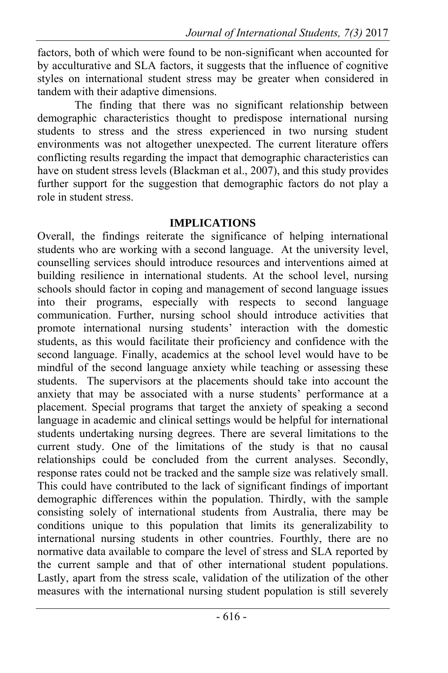factors, both of which were found to be non-significant when accounted for by acculturative and SLA factors, it suggests that the influence of cognitive styles on international student stress may be greater when considered in tandem with their adaptive dimensions.

 The finding that there was no significant relationship between demographic characteristics thought to predispose international nursing students to stress and the stress experienced in two nursing student environments was not altogether unexpected. The current literature offers conflicting results regarding the impact that demographic characteristics can have on student stress levels (Blackman et al., 2007), and this study provides further support for the suggestion that demographic factors do not play a role in student stress.

### **IMPLICATIONS**

Overall, the findings reiterate the significance of helping international students who are working with a second language. At the university level, counselling services should introduce resources and interventions aimed at building resilience in international students. At the school level, nursing schools should factor in coping and management of second language issues into their programs, especially with respects to second language communication. Further, nursing school should introduce activities that promote international nursing students' interaction with the domestic students, as this would facilitate their proficiency and confidence with the second language. Finally, academics at the school level would have to be mindful of the second language anxiety while teaching or assessing these students. The supervisors at the placements should take into account the anxiety that may be associated with a nurse students' performance at a placement. Special programs that target the anxiety of speaking a second language in academic and clinical settings would be helpful for international students undertaking nursing degrees. There are several limitations to the current study. One of the limitations of the study is that no causal relationships could be concluded from the current analyses. Secondly, response rates could not be tracked and the sample size was relatively small. This could have contributed to the lack of significant findings of important demographic differences within the population. Thirdly, with the sample consisting solely of international students from Australia, there may be conditions unique to this population that limits its generalizability to international nursing students in other countries. Fourthly, there are no normative data available to compare the level of stress and SLA reported by the current sample and that of other international student populations. Lastly, apart from the stress scale, validation of the utilization of the other measures with the international nursing student population is still severely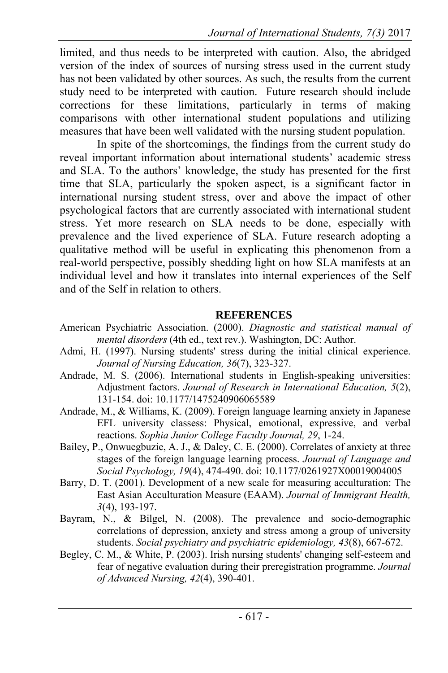limited, and thus needs to be interpreted with caution. Also, the abridged version of the index of sources of nursing stress used in the current study has not been validated by other sources. As such, the results from the current study need to be interpreted with caution. Future research should include corrections for these limitations, particularly in terms of making comparisons with other international student populations and utilizing measures that have been well validated with the nursing student population.

 In spite of the shortcomings, the findings from the current study do reveal important information about international students' academic stress and SLA. To the authors' knowledge, the study has presented for the first time that SLA, particularly the spoken aspect, is a significant factor in international nursing student stress, over and above the impact of other psychological factors that are currently associated with international student stress. Yet more research on SLA needs to be done, especially with prevalence and the lived experience of SLA. Future research adopting a qualitative method will be useful in explicating this phenomenon from a real-world perspective, possibly shedding light on how SLA manifests at an individual level and how it translates into internal experiences of the Self and of the Self in relation to others.

#### **REFERENCES**

- American Psychiatric Association. (2000). *Diagnostic and statistical manual of mental disorders* (4th ed., text rev.). Washington, DC: Author.
- Admi, H. (1997). Nursing students' stress during the initial clinical experience. *Journal of Nursing Education, 36*(7), 323-327.
- Andrade, M. S. (2006). International students in English-speaking universities: Adjustment factors. *Journal of Research in International Education, 5*(2), 131-154. doi: 10.1177/1475240906065589
- Andrade, M., & Williams, K. (2009). Foreign language learning anxiety in Japanese EFL university classess: Physical, emotional, expressive, and verbal reactions. *Sophia Junior College Faculty Journal, 29*, 1-24.
- Bailey, P., Onwuegbuzie, A. J., & Daley, C. E. (2000). Correlates of anxiety at three stages of the foreign language learning process. *Journal of Language and Social Psychology, 19*(4), 474-490. doi: 10.1177/0261927X00019004005
- Barry, D. T. (2001). Development of a new scale for measuring acculturation: The East Asian Acculturation Measure (EAAM). *Journal of Immigrant Health, 3*(4), 193-197.
- Bayram, N., & Bilgel, N. (2008). The prevalence and socio-demographic correlations of depression, anxiety and stress among a group of university students. *Social psychiatry and psychiatric epidemiology, 43*(8), 667-672.
- Begley, C. M., & White, P. (2003). Irish nursing students' changing self-esteem and fear of negative evaluation during their preregistration programme. *Journal of Advanced Nursing, 42*(4), 390-401.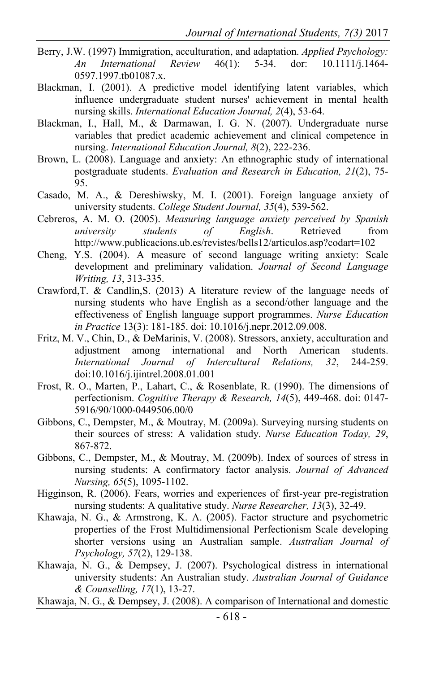- Berry, J.W. (1997) Immigration, acculturation, and adaptation. *Applied Psychology: An International Review* 46(1): 5-34. dor: 10.1111/j.1464- 0597.1997.tb01087.x.
- Blackman, I. (2001). A predictive model identifying latent variables, which influence undergraduate student nurses' achievement in mental health nursing skills. *International Education Journal, 2*(4), 53-64.
- Blackman, I., Hall, M., & Darmawan, I. G. N. (2007). Undergraduate nurse variables that predict academic achievement and clinical competence in nursing. *International Education Journal, 8*(2), 222-236.
- Brown, L. (2008). Language and anxiety: An ethnographic study of international postgraduate students. *Evaluation and Research in Education, 21*(2), 75- 95.
- Casado, M. A., & Dereshiwsky, M. I. (2001). Foreign language anxiety of university students. *College Student Journal, 35*(4), 539-562.
- Cebreros, A. M. O. (2005). *Measuring language anxiety perceived by Spanish university students of English*. Retrieved from http://www.publicacions.ub.es/revistes/bells12/articulos.asp?codart=102
- Cheng, Y.S. (2004). A measure of second language writing anxiety: Scale development and preliminary validation. *Journal of Second Language Writing, 13*, 313-335.
- Crawford,T. & Candlin,S. (2013) A literature review of the language needs of nursing students who have English as a second/other language and the effectiveness of English language support programmes. *Nurse Education in Practice* 13(3): 181-185. doi: 10.1016/j.nepr.2012.09.008.
- Fritz, M. V., Chin, D., & DeMarinis, V. (2008). Stressors, anxiety, acculturation and adjustment among international and North American students. *International Journal of Intercultural Relations, 32*, 244-259. doi:10.1016/j.ijintrel.2008.01.001
- Frost, R. O., Marten, P., Lahart, C., & Rosenblate, R. (1990). The dimensions of perfectionism. *Cognitive Therapy & Research, 14*(5), 449-468. doi: 0147- 5916/90/1000-0449506.00/0
- Gibbons, C., Dempster, M., & Moutray, M. (2009a). Surveying nursing students on their sources of stress: A validation study. *Nurse Education Today, 29*, 867-872.
- Gibbons, C., Dempster, M., & Moutray, M. (2009b). Index of sources of stress in nursing students: A confirmatory factor analysis. *Journal of Advanced Nursing, 65*(5), 1095-1102.
- Higginson, R. (2006). Fears, worries and experiences of first-year pre-registration nursing students: A qualitative study. *Nurse Researcher, 13*(3), 32-49.
- Khawaja, N. G., & Armstrong, K. A. (2005). Factor structure and psychometric properties of the Frost Multidimensional Perfectionism Scale developing shorter versions using an Australian sample. *Australian Journal of Psychology, 57*(2), 129-138.
- Khawaja, N. G., & Dempsey, J. (2007). Psychological distress in international university students: An Australian study. *Australian Journal of Guidance & Counselling, 17*(1), 13-27.

Khawaja, N. G., & Dempsey, J. (2008). A comparison of International and domestic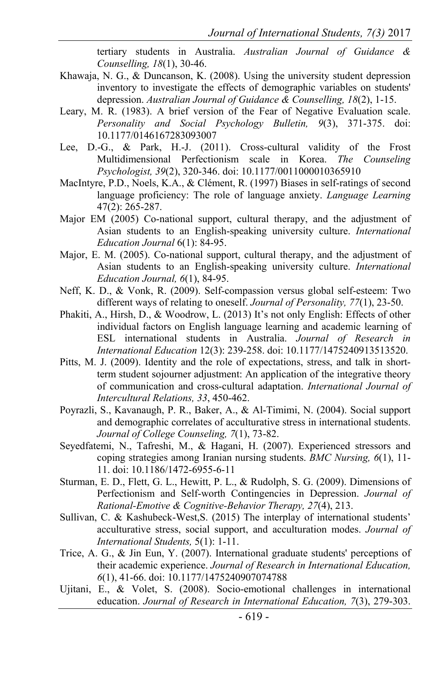tertiary students in Australia. *Australian Journal of Guidance & Counselling, 18*(1), 30-46.

- Khawaja, N. G., & Duncanson, K. (2008). Using the university student depression inventory to investigate the effects of demographic variables on students' depression. *Australian Journal of Guidance & Counselling, 18*(2), 1-15.
- Leary, M. R. (1983). A brief version of the Fear of Negative Evaluation scale. *Personality and Social Psychology Bulletin, 9*(3), 371-375. doi: 10.1177/0146167283093007
- Lee, D.-G., & Park, H.-J. (2011). Cross-cultural validity of the Frost Multidimensional Perfectionism scale in Korea. *The Counseling Psychologist, 39*(2), 320-346. doi: 10.1177/0011000010365910
- MacIntyre, P.D., Noels, K.A., & Clément, R. (1997) Biases in self-ratings of second language proficiency: The role of language anxiety. *Language Learning* 47(2): 265-287.
- Major EM (2005) Co-national support, cultural therapy, and the adjustment of Asian students to an English-speaking university culture. *International Education Journal* 6(1): 84-95.
- Major, E. M. (2005). Co-national support, cultural therapy, and the adjustment of Asian students to an English-speaking university culture. *International Education Journal, 6*(1), 84-95.
- Neff, K. D., & Vonk, R. (2009). Self-compassion versus global self-esteem: Two different ways of relating to oneself. *Journal of Personality, 77*(1), 23-50.
- Phakiti, A., Hirsh, D., & Woodrow, L. (2013) It's not only English: Effects of other individual factors on English language learning and academic learning of ESL international students in Australia. *Journal of Research in International Education* 12(3): 239-258. doi: 10.1177/1475240913513520.
- Pitts, M. J. (2009). Identity and the role of expectations, stress, and talk in shortterm student sojourner adjustment: An application of the integrative theory of communication and cross-cultural adaptation. *International Journal of Intercultural Relations, 33*, 450-462.
- Poyrazli, S., Kavanaugh, P. R., Baker, A., & Al-Timimi, N. (2004). Social support and demographic correlates of acculturative stress in international students. *Journal of College Counseling, 7*(1), 73-82.
- Seyedfatemi, N., Tafreshi, M., & Hagani, H. (2007). Experienced stressors and coping strategies among Iranian nursing students. *BMC Nursing, 6*(1), 11- 11. doi: 10.1186/1472-6955-6-11
- Sturman, E. D., Flett, G. L., Hewitt, P. L., & Rudolph, S. G. (2009). Dimensions of Perfectionism and Self-worth Contingencies in Depression. *Journal of Rational-Emotive & Cognitive-Behavior Therapy, 27*(4), 213.
- Sullivan, C. & Kashubeck-West,S. (2015) The interplay of international students' acculturative stress, social support, and acculturation modes. *Journal of International Students,* 5(1): 1-11.
- Trice, A. G., & Jin Eun, Y. (2007). International graduate students' perceptions of their academic experience. *Journal of Research in International Education, 6*(1), 41-66. doi: 10.1177/1475240907074788
- Ujitani, E., & Volet, S. (2008). Socio-emotional challenges in international education. *Journal of Research in International Education, 7*(3), 279-303.